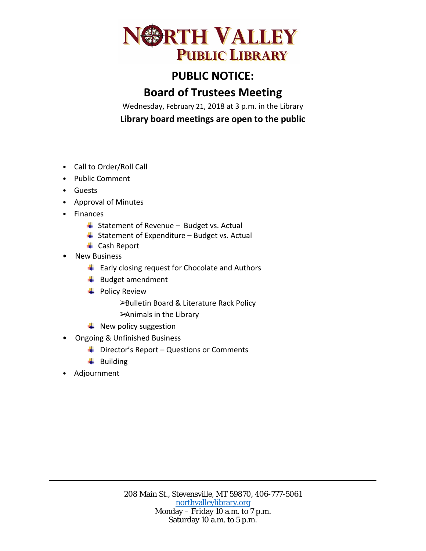

## **PUBLIC NOTICE:**

## **Board of Trustees Meeting**

Wednesday, February 21, 2018 at 3 p.m. in the Library **Library board meetings are open to the public**

- Call to Order/Roll Call
- Public Comment
- Guests
- Approval of Minutes
- Finances
	- $\frac{1}{2}$  Statement of Revenue Budget vs. Actual
	- $\overline{\phantom{a}}$  Statement of Expenditure Budget vs. Actual
	- **↓** Cash Report
- New Business
	- $\ddot{+}$  Early closing request for Chocolate and Authors
	- $\bigstar$  Budget amendment
	- $\overline{\phantom{a}}$  Policy Review
		- ➢Bulletin Board & Literature Rack Policy
		- ➢Animals in the Library
	- $\blacksquare$  New policy suggestion
- Ongoing & Unfinished Business
	- $\downarrow$  Director's Report Questions or Comments
	- $\downarrow$  Building
- Adjournment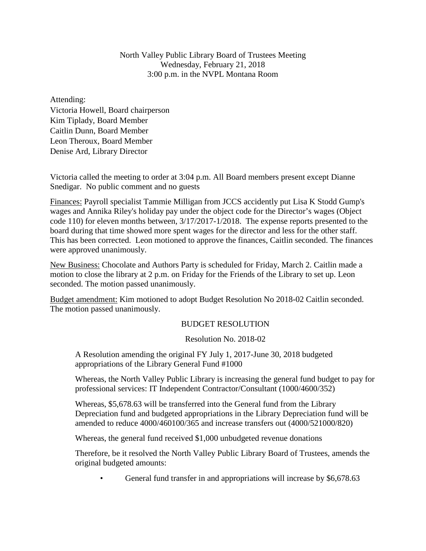North Valley Public Library Board of Trustees Meeting Wednesday, February 21, 2018 3:00 p.m. in the NVPL Montana Room

Attending: Victoria Howell, Board chairperson Kim Tiplady, Board Member Caitlin Dunn, Board Member Leon Theroux, Board Member Denise Ard, Library Director

Victoria called the meeting to order at 3:04 p.m. All Board members present except Dianne Snedigar. No public comment and no guests

Finances: Payroll specialist Tammie Milligan from JCCS accidently put Lisa K Stodd Gump's wages and Annika Riley's holiday pay under the object code for the Director's wages (Object code 110) for eleven months between, 3/17/2017-1/2018. The expense reports presented to the board during that time showed more spent wages for the director and less for the other staff. This has been corrected. Leon motioned to approve the finances, Caitlin seconded. The finances were approved unanimously.

New Business: Chocolate and Authors Party is scheduled for Friday, March 2. Caitlin made a motion to close the library at 2 p.m. on Friday for the Friends of the Library to set up. Leon seconded. The motion passed unanimously.

Budget amendment: Kim motioned to adopt Budget Resolution No 2018-02 Caitlin seconded. The motion passed unanimously.

## BUDGET RESOLUTION

Resolution No. 2018-02

A Resolution amending the original FY July 1, 2017-June 30, 2018 budgeted appropriations of the Library General Fund #1000

Whereas, the North Valley Public Library is increasing the general fund budget to pay for professional services: IT Independent Contractor/Consultant (1000/4600/352)

Whereas, \$5,678.63 will be transferred into the General fund from the Library Depreciation fund and budgeted appropriations in the Library Depreciation fund will be amended to reduce 4000/460100/365 and increase transfers out (4000/521000/820)

Whereas, the general fund received \$1,000 unbudgeted revenue donations

Therefore, be it resolved the North Valley Public Library Board of Trustees, amends the original budgeted amounts:

General fund transfer in and appropriations will increase by \$6,678.63